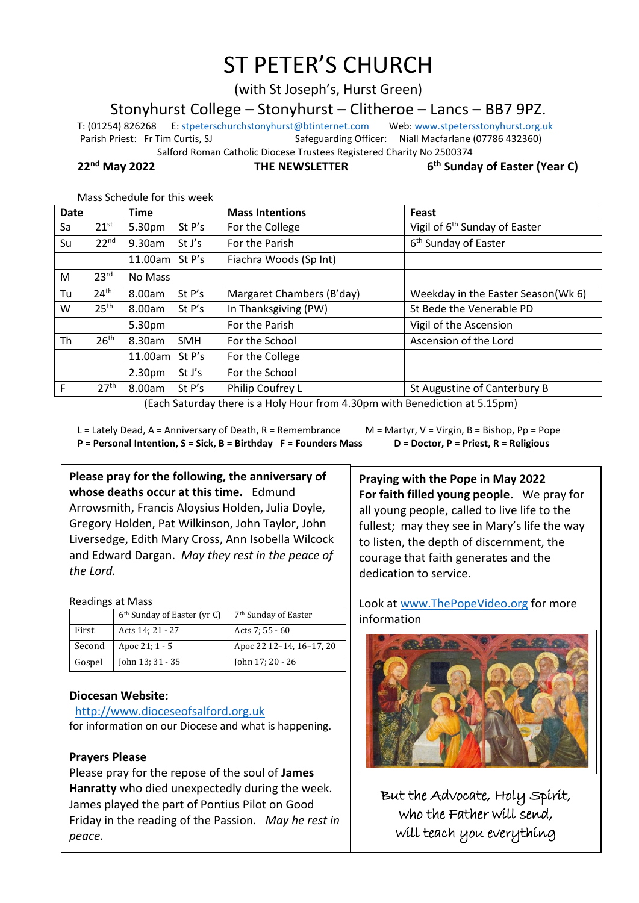# ST PETER'S CHURCH

(with St Joseph's, Hurst Green)

Stonyhurst College – Stonyhurst – Clitheroe – Lancs – BB7 9PZ.

T: (01254) 826268 E[: stpeterschurchstonyhurst@btinternet.com](mailto:stpeterschurchstonyhurst@btinternet.com) Web[: www.stpetersstonyhurst.org.uk](http://www.stpetersstonyhurst.org.uk/) Parish Priest: Fr Tim Curtis, SJ Safeguarding Officer: Niall Macfarlane (07786 432360)

Salford Roman Catholic Diocese Trustees Registered Charity No 2500374

**22nd May 2022 THE NEWSLETTER 6**

**th Sunday of Easter (Year C)**

#### Mass Schedule for this week

|                  | <b>Time</b>                  | <b>Mass Intentions</b>    | Feast                                     |
|------------------|------------------------------|---------------------------|-------------------------------------------|
| $21^{st}$        | 5.30pm<br>St P's             | For the College           | Vigil of 6 <sup>th</sup> Sunday of Easter |
| 22 <sup>nd</sup> | 9.30am<br>St J's             | For the Parish            | 6 <sup>th</sup> Sunday of Easter          |
|                  | 11.00am St P's               | Fiachra Woods (Sp Int)    |                                           |
| 23 <sup>rd</sup> | No Mass                      |                           |                                           |
| 24 <sup>th</sup> | St P's<br>8.00am             | Margaret Chambers (B'day) | Weekday in the Easter Season(Wk 6)        |
| 25 <sup>th</sup> | St $P's$<br>8.00am           | In Thanksgiving (PW)      | St Bede the Venerable PD                  |
|                  | 5.30pm                       | For the Parish            | Vigil of the Ascension                    |
| 26 <sup>th</sup> | 8.30am<br><b>SMH</b>         | For the School            | Ascension of the Lord                     |
|                  | St $P's$<br>11.00am          | For the College           |                                           |
|                  | 2.30 <sub>pm</sub><br>St J's | For the School            |                                           |
| 27 <sup>th</sup> | 8.00am<br>St P's             | Philip Coufrey L          | St Augustine of Canterbury B              |
|                  |                              |                           |                                           |

(Each Saturday there is a Holy Hour from 4.30pm with Benediction at 5.15pm)

L = Lately Dead, A = Anniversary of Death, R = Remembrance M = Martyr, V = Virgin, B = Bishop, Pp = Pope **P = Personal Intention, S = Sick, B = Birthday F = Founders Mass D = Doctor, P = Priest, R = Religious**

## **Please pray for the following, the anniversary of whose deaths occur at this time.** Edmund Arrowsmith, Francis Aloysius Holden, Julia Doyle, Gregory Holden, Pat Wilkinson, John Taylor, John Liversedge, Edith Mary Cross, Ann Isobella Wilcock and Edward Dargan. *May they rest in the peace of the Lord.*

#### Readings at Mass

|        | 6 <sup>th</sup> Sunday of Easter (yr C) | 7 <sup>th</sup> Sunday of Easter |
|--------|-----------------------------------------|----------------------------------|
| First  | Acts 14; 21 - 27                        | Acts 7: 55 - 60                  |
| Second | Apoc 21; 1 - 5                          | Apoc 22 12-14, 16-17, 20         |
| Gospel | John 13; 31 - 35                        | John 17; 20 - 26                 |

## **Diocesan Website:**

## http://www.dioceseofsalford.org.uk

for information on our Diocese and what is happening.

## **Prayers Please**

Please pray for the repose of the soul of **James Hanratty** who died unexpectedly during the week. James played the part of Pontius Pilot on Good Friday in the reading of the Passion*. May he rest in peace.*

**Praying with the Pope in May 2022 For faith filled young people.** We pray for all young people, called to live life to the fullest; may they see in Mary's life the way to listen, the depth of discernment, the courage that faith generates and the dedication to service.

Look at www.ThePopeVideo.org for more information



But the Advocate, Holy Spirit, who the Father will send, will teach you everything

 $\overline{a}$